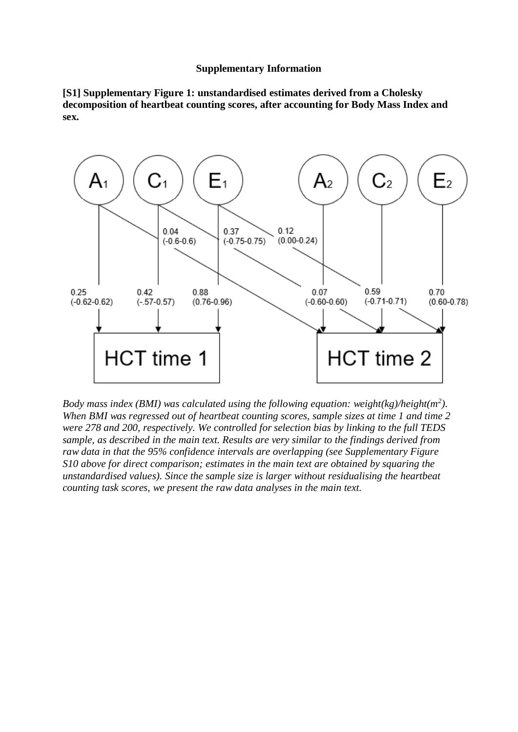## **Supplementary Information**

**[S1] Supplementary Figure 1: unstandardised estimates derived from a Cholesky decomposition of heartbeat counting scores, after accounting for Body Mass Index and sex.** 



*Body mass index (BMI) was calculated using the following equation: weight(kg)/height(m<sup>2</sup> ). When BMI was regressed out of heartbeat counting scores, sample sizes at time 1 and time 2 were 278 and 200, respectively. We controlled for selection bias by linking to the full TEDS sample, as described in the main text. Results are very similar to the findings derived from raw data in that the 95% confidence intervals are overlapping (see Supplementary Figure S10 above for direct comparison; estimates in the main text are obtained by squaring the unstandardised values). Since the sample size is larger without residualising the heartbeat counting task scores, we present the raw data analyses in the main text.*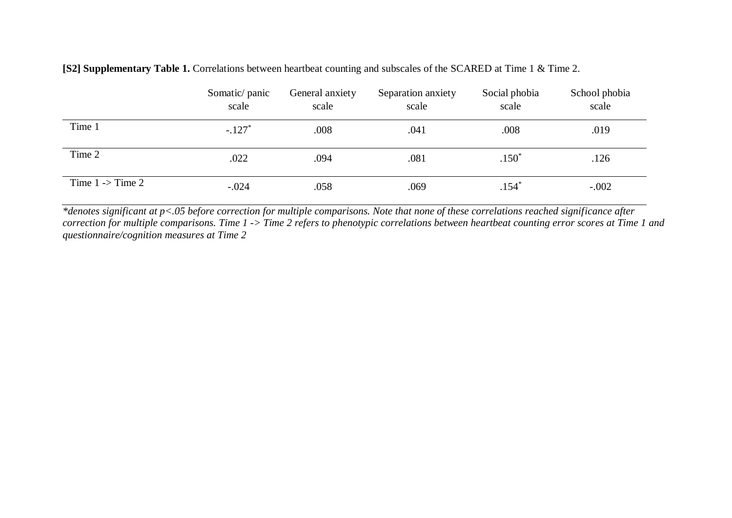|                             | Somatic/panic<br>scale | General anxiety<br>scale | Separation anxiety<br>scale | Social phobia<br>scale | School phobia<br>scale |
|-----------------------------|------------------------|--------------------------|-----------------------------|------------------------|------------------------|
| Time 1                      | $-.127*$               | .008                     | .041                        | .008                   | .019                   |
| Time 2                      | .022                   | .094                     | .081                        | $.150*$                | .126                   |
| Time $1 \rightarrow$ Time 2 | $-.024$                | .058                     | .069                        | $.154*$                | $-.002$                |

**[S2] Supplementary Table 1.** Correlations between heartbeat counting and subscales of the SCARED at Time 1 & Time 2.

*\*denotes significant at p<.05 before correction for multiple comparisons. Note that none of these correlations reached significance after correction for multiple comparisons. Time 1 -> Time 2 refers to phenotypic correlations between heartbeat counting error scores at Time 1 and questionnaire/cognition measures at Time 2*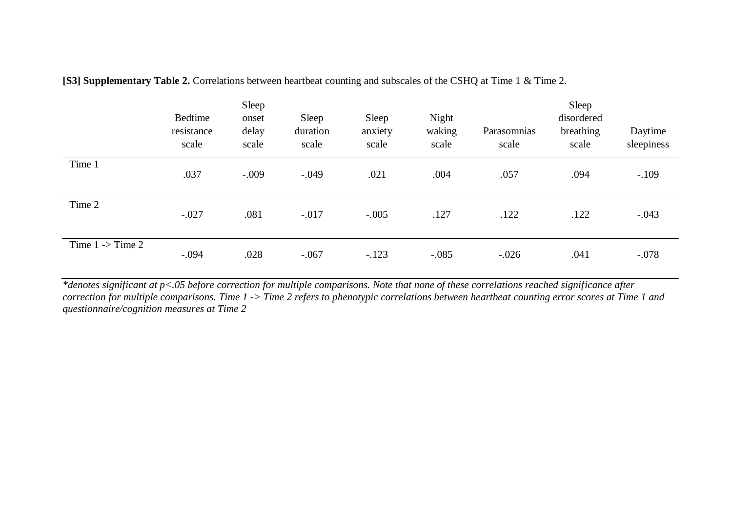|                             | Bedtime<br>resistance<br>scale | Sleep<br>onset<br>delay<br>scale | Sleep<br>duration<br>scale | Sleep<br>anxiety<br>scale | Night<br>waking<br>scale | Parasomnias<br>scale | Sleep<br>disordered<br>breathing<br>scale | Daytime<br>sleepiness |
|-----------------------------|--------------------------------|----------------------------------|----------------------------|---------------------------|--------------------------|----------------------|-------------------------------------------|-----------------------|
| Time 1                      | .037                           | $-.009$                          | $-.049$                    | .021                      | .004                     | .057                 | .094                                      | $-.109$               |
| Time 2                      | $-.027$                        | .081                             | $-.017$                    | $-.005$                   | .127                     | .122                 | .122                                      | $-.043$               |
| Time $1 \rightarrow$ Time 2 | $-.094$                        | .028                             | $-.067$                    | $-.123$                   | $-.085$                  | $-.026$              | .041                                      | $-.078$               |

**[S3] Supplementary Table 2.** Correlations between heartbeat counting and subscales of the CSHQ at Time 1 & Time 2.

*\*denotes significant at p<.05 before correction for multiple comparisons. Note that none of these correlations reached significance after correction for multiple comparisons. Time 1 -> Time 2 refers to phenotypic correlations between heartbeat counting error scores at Time 1 and questionnaire/cognition measures at Time 2*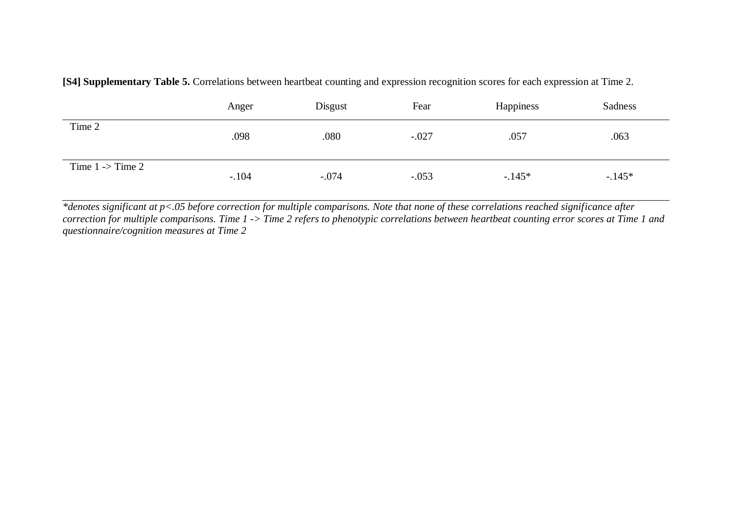|                             | Anger   | Disgust | Fear    | Happiness | Sadness |
|-----------------------------|---------|---------|---------|-----------|---------|
| Time 2                      | .098    | .080    | $-.027$ | .057      | .063    |
| Time $1 \rightarrow$ Time 2 | $-.104$ | $-.074$ | $-.053$ | $-.145*$  | $-145*$ |

**[S4] Supplementary Table 5.** Correlations between heartbeat counting and expression recognition scores for each expression at Time 2.

*\*denotes significant at p<.05 before correction for multiple comparisons. Note that none of these correlations reached significance after correction for multiple comparisons. Time 1 -> Time 2 refers to phenotypic correlations between heartbeat counting error scores at Time 1 and questionnaire/cognition measures at Time 2*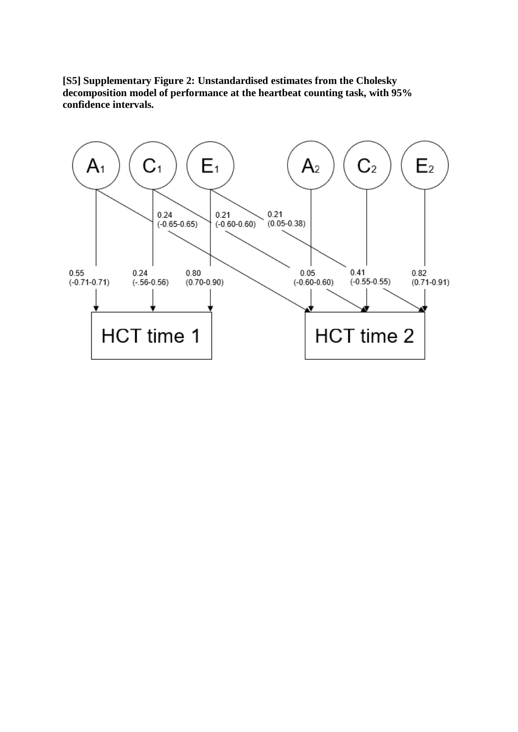**[S5] Supplementary Figure 2: Unstandardised estimates from the Cholesky decomposition model of performance at the heartbeat counting task, with 95% confidence intervals.**